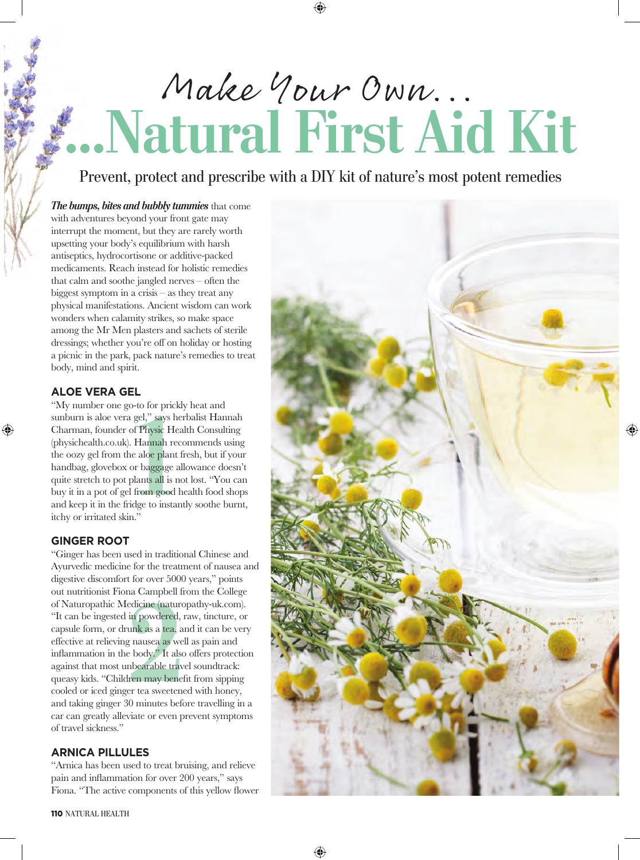# **...Natural First Aid Kit** Make Your Own...

Prevent, protect and prescribe with a DIY kit of nature's most potent remedies

*The bumps, bites and bubbly tummies* that come with adventures beyond your front gate may interrupt the moment, but they are rarely worth upsetting your body's equilibrium with harsh antiseptics, hydrocortisone or additive-packed medicaments. Reach instead for holistic remedies that calm and soothe jangled nerves – often the biggest symptom in a crisis – as they treat any physical manifestations. Ancient wisdom can work wonders when calamity strikes, so make space among the Mr Men plasters and sachets of sterile dressings; whether you're off on holiday or hosting a picnic in the park, pack nature's remedies to treat body, mind and spirit.

### **ALOE VERA GEL**

⊕

sunburn is aloe vera gel," says herbalist Hannah<br>Charman, founder of Physic Health Consulting<br>(physichealth.co.uk). Hannah recommends using<br>the oozy gel from the aloe plant fresh, but if your<br>handbag, glovebox or baggage a "My number one go-to for prickly heat and sunburn is aloe vera gel," says herbalist Hannah Charman, founder of Physic Health Consulting (physichealth.co.uk). Hannah recommends using the oozy gel from the aloe plant fresh, but if your handbag, glovebox or baggage allowance doesn't quite stretch to pot plants all is not lost. "You can buy it in a pot of gel from good health food shops itchy or irritated skin."

#### **GINGER ROOT**

edicine (natur<br>in powdered,<br>unk as a tea, i<br>rausea as we<br>body." It als<br>bearable tranent may bene<br>er tea sweeter<br>on minutes be "Ginger has been used in traditional Chinese and Ayurvedic medicine for the treatment of nausea and digestive discomfort for over 5000 years," points out nutritionist Fiona Campbell from the College of Naturopathic Medicine (naturopathy-uk.com). "It can be ingested in powdered, raw, tincture, or capsule form, or drunk as a tea, and it can be very effective at relieving nausea as well as pain and inflammation in the body." It also offers protection against that most unbearable travel soundtrack: queasy kids. "Children may benefit from sipping cooled or iced ginger tea sweetened with honey, and taking ginger 30 minutes before travelling in a car can greatly alleviate or even prevent symptoms of travel sickness."

## **ARNICA PILLULES**

"Arnica has been used to treat bruising, and relieve pain and inflammation for over 200 years," says Fiona. "The active components of this yellow flower

110 NATURAL HEALTH